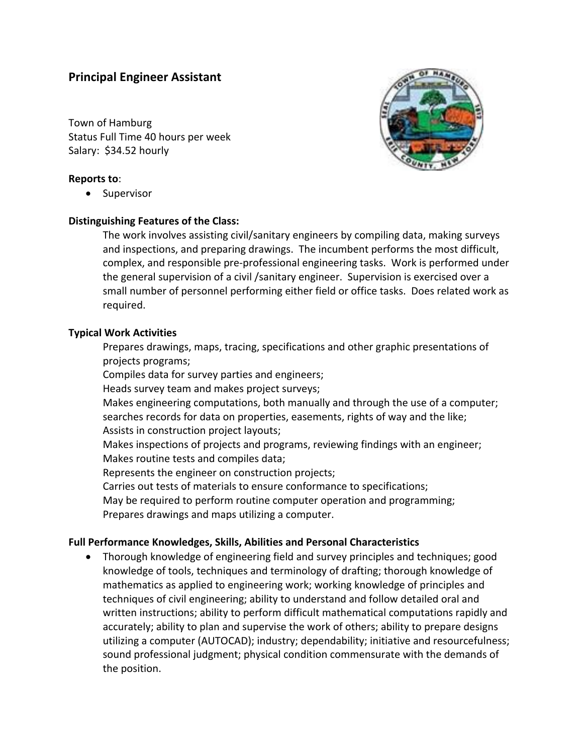# **Principal Engineer Assistant**

Town of Hamburg Status Full Time 40 hours per week Salary: \$34.52 hourly

### **Reports to**:

• Supervisor

#### **Distinguishing Features of the Class:**

The work involves assisting civil/sanitary engineers by compiling data, making surveys and inspections, and preparing drawings. The incumbent performs the most difficult, complex, and responsible pre‐professional engineering tasks. Work is performed under the general supervision of a civil /sanitary engineer. Supervision is exercised over a small number of personnel performing either field or office tasks. Does related work as required.

#### **Typical Work Activities**

Prepares drawings, maps, tracing, specifications and other graphic presentations of projects programs;

Compiles data for survey parties and engineers;

Heads survey team and makes project surveys;

Makes engineering computations, both manually and through the use of a computer; searches records for data on properties, easements, rights of way and the like; Assists in construction project layouts;

Makes inspections of projects and programs, reviewing findings with an engineer; Makes routine tests and compiles data;

Represents the engineer on construction projects;

Carries out tests of materials to ensure conformance to specifications;

May be required to perform routine computer operation and programming; Prepares drawings and maps utilizing a computer.

## **Full Performance Knowledges, Skills, Abilities and Personal Characteristics**

 Thorough knowledge of engineering field and survey principles and techniques; good knowledge of tools, techniques and terminology of drafting; thorough knowledge of mathematics as applied to engineering work; working knowledge of principles and techniques of civil engineering; ability to understand and follow detailed oral and written instructions; ability to perform difficult mathematical computations rapidly and accurately; ability to plan and supervise the work of others; ability to prepare designs utilizing a computer (AUTOCAD); industry; dependability; initiative and resourcefulness; sound professional judgment; physical condition commensurate with the demands of the position.